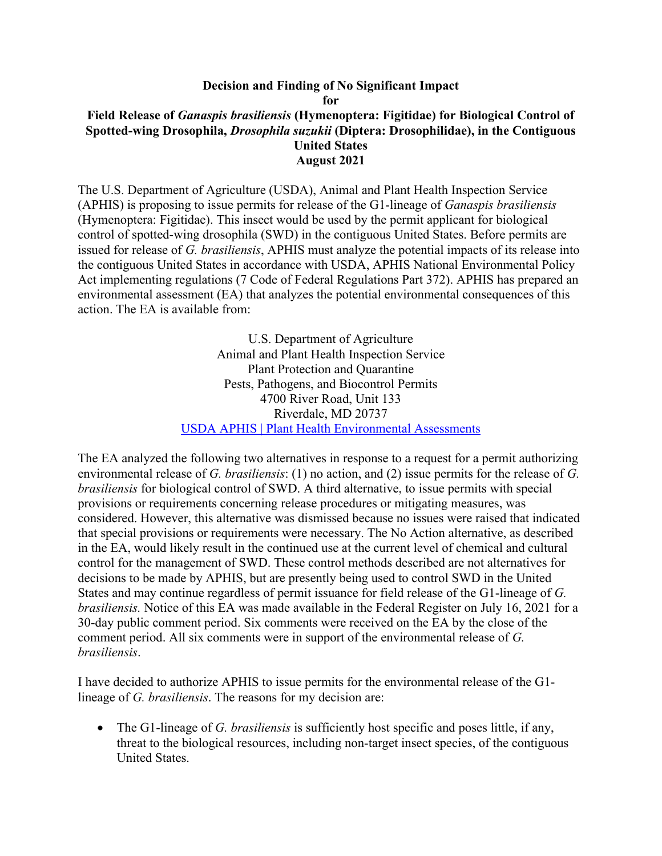## **Decision and Finding of No Significant Impact for Field Release of** *Ganaspis brasiliensis* **(Hymenoptera: Figitidae) for Biological Control of Spotted-wing Drosophila,** *Drosophila suzukii* **(Diptera: Drosophilidae), in the Contiguous United States August 2021**

The U.S. Department of Agriculture (USDA), Animal and Plant Health Inspection Service (APHIS) is proposing to issue permits for release of the G1-lineage of *Ganaspis brasiliensis* (Hymenoptera: Figitidae). This insect would be used by the permit applicant for biological control of spotted-wing drosophila (SWD) in the contiguous United States. Before permits are issued for release of *G. brasiliensis*, APHIS must analyze the potential impacts of its release into the contiguous United States in accordance with USDA, APHIS National Environmental Policy Act implementing regulations (7 Code of Federal Regulations Part 372). APHIS has prepared an environmental assessment (EA) that analyzes the potential environmental consequences of this action. The EA is available from:

> U.S. Department of Agriculture Animal and Plant Health Inspection Service Plant Protection and Quarantine Pests, Pathogens, and Biocontrol Permits 4700 River Road, Unit 133 Riverdale, MD 20737 [USDA APHIS | Plant Health Environmental Assessments](https://www.aphis.usda.gov/aphis/ourfocus/planthealth/plant-pest-and-disease-programs/ea/)

The EA analyzed the following two alternatives in response to a request for a permit authorizing environmental release of *G. brasiliensis*: (1) no action, and (2) issue permits for the release of *G. brasiliensis* for biological control of SWD. A third alternative, to issue permits with special provisions or requirements concerning release procedures or mitigating measures, was considered. However, this alternative was dismissed because no issues were raised that indicated that special provisions or requirements were necessary. The No Action alternative, as described in the EA, would likely result in the continued use at the current level of chemical and cultural control for the management of SWD. These control methods described are not alternatives for decisions to be made by APHIS, but are presently being used to control SWD in the United States and may continue regardless of permit issuance for field release of the G1-lineage of *G. brasiliensis.* Notice of this EA was made available in the Federal Register on July 16, 2021 for a 30-day public comment period. Six comments were received on the EA by the close of the comment period. All six comments were in support of the environmental release of *G. brasiliensis*.

I have decided to authorize APHIS to issue permits for the environmental release of the G1 lineage of *G. brasiliensis*. The reasons for my decision are:

• The G1-lineage of *G. brasiliensis* is sufficiently host specific and poses little, if any, threat to the biological resources, including non-target insect species, of the contiguous United States.